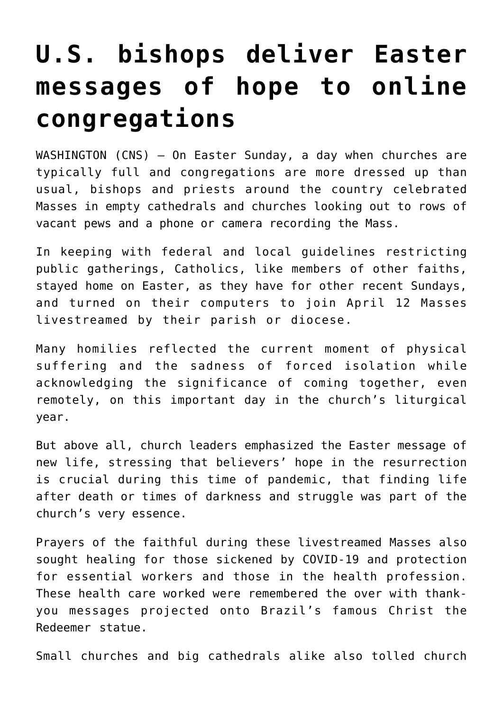## **[U.S. bishops deliver Easter](https://www.osvnews.com/2020/04/14/u-s-bishops-deliver-easter-messages-of-hope-to-online-congregations/) [messages of hope to online](https://www.osvnews.com/2020/04/14/u-s-bishops-deliver-easter-messages-of-hope-to-online-congregations/) [congregations](https://www.osvnews.com/2020/04/14/u-s-bishops-deliver-easter-messages-of-hope-to-online-congregations/)**

WASHINGTON (CNS) — On Easter Sunday, a day when churches are typically full and congregations are more dressed up than usual, bishops and priests around the country celebrated Masses in empty cathedrals and churches looking out to rows of vacant pews and a phone or camera recording the Mass.

In keeping with federal and local guidelines restricting public gatherings, Catholics, like members of other faiths, stayed home on Easter, as they have for other recent Sundays, and turned on their computers to join April 12 Masses livestreamed by their parish or diocese.

Many homilies reflected the current moment of physical suffering and the sadness of forced isolation while acknowledging the significance of coming together, even remotely, on this important day in the church's liturgical year.

But above all, church leaders emphasized the Easter message of new life, stressing that believers' hope in the resurrection is crucial during this time of pandemic, that finding life after death or times of darkness and struggle was part of the church's very essence.

Prayers of the faithful during these livestreamed Masses also sought healing for those sickened by COVID-19 and protection for essential workers and those in the health profession. These health care worked were remembered the over with thankyou messages projected onto Brazil's famous Christ the Redeemer statue.

Small churches and big cathedrals alike also tolled church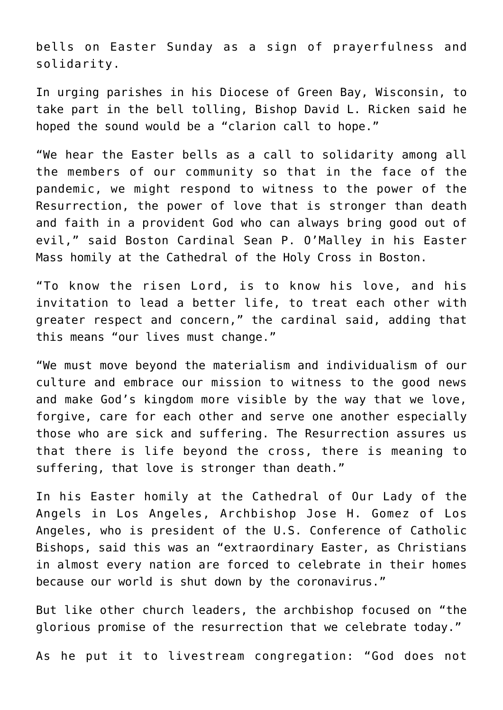bells on Easter Sunday as a sign of prayerfulness and solidarity.

In urging parishes in his Diocese of Green Bay, Wisconsin, to take part in the bell tolling, Bishop David L. Ricken said he hoped the sound would be a "clarion call to hope."

"We hear the Easter bells as a call to solidarity among all the members of our community so that in the face of the pandemic, we might respond to witness to the power of the Resurrection, the power of love that is stronger than death and faith in a provident God who can always bring good out of evil," said Boston Cardinal Sean P. O'Malley in his Easter Mass homily at the Cathedral of the Holy Cross in Boston.

"To know the risen Lord, is to know his love, and his invitation to lead a better life, to treat each other with greater respect and concern," the cardinal said, adding that this means "our lives must change."

"We must move beyond the materialism and individualism of our culture and embrace our mission to witness to the good news and make God's kingdom more visible by the way that we love, forgive, care for each other and serve one another especially those who are sick and suffering. The Resurrection assures us that there is life beyond the cross, there is meaning to suffering, that love is stronger than death."

In his Easter homily at the Cathedral of Our Lady of the Angels in Los Angeles, Archbishop Jose H. Gomez of Los Angeles, who is president of the U.S. Conference of Catholic Bishops, said this was an "extraordinary Easter, as Christians in almost every nation are forced to celebrate in their homes because our world is shut down by the coronavirus."

But like other church leaders, the archbishop focused on "the glorious promise of the resurrection that we celebrate today."

As he put it to livestream congregation: "God does not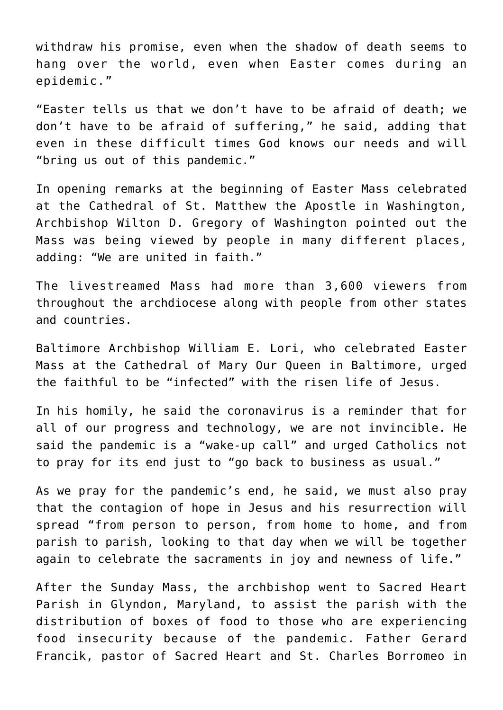withdraw his promise, even when the shadow of death seems to hang over the world, even when Easter comes during an epidemic."

"Easter tells us that we don't have to be afraid of death; we don't have to be afraid of suffering," he said, adding that even in these difficult times God knows our needs and will "bring us out of this pandemic."

In opening remarks at the beginning of Easter Mass celebrated at the Cathedral of St. Matthew the Apostle in Washington, Archbishop Wilton D. Gregory of Washington pointed out the Mass was being viewed by people in many different places, adding: "We are united in faith."

The livestreamed Mass had more than 3,600 viewers from throughout the archdiocese along with people from other states and countries.

Baltimore Archbishop William E. Lori, who celebrated Easter Mass at the Cathedral of Mary Our Queen in Baltimore, urged the faithful to be "infected" with the risen life of Jesus.

In his homily, he said the coronavirus is a reminder that for all of our progress and technology, we are not invincible. He said the pandemic is a "wake-up call" and urged Catholics not to pray for its end just to "go back to business as usual."

As we pray for the pandemic's end, he said, we must also pray that the contagion of hope in Jesus and his resurrection will spread "from person to person, from home to home, and from parish to parish, looking to that day when we will be together again to celebrate the sacraments in joy and newness of life."

After the Sunday Mass, the archbishop went to Sacred Heart Parish in Glyndon, Maryland, to assist the parish with the distribution of boxes of food to those who are experiencing food insecurity because of the pandemic. Father Gerard Francik, pastor of Sacred Heart and St. Charles Borromeo in